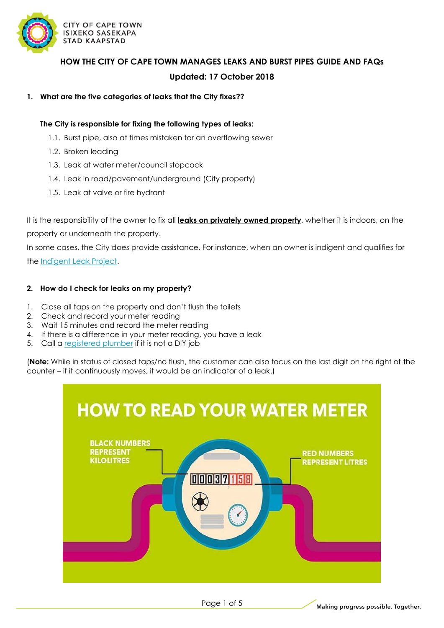

**HOW THE CITY OF CAPE TOWN MANAGES LEAKS AND BURST PIPES GUIDE AND FAQs Updated: 17 October 2018**

#### **1. What are the five categories of leaks that the City fixes??**

#### **The City is responsible for fixing the following types of leaks:**

- 1.1. Burst pipe, also at times mistaken for an overflowing sewer
- 1.2. Broken leading
- 1.3. Leak at water meter/council stopcock
- 1.4. Leak in road/pavement/underground (City property)
- 1.5. Leak at valve or fire hydrant

It is the responsibility of the owner to fix all **leaks on privately owned property**, whether it is indoors, on the property or underneath the property.

In some cases, the City does provide assistance. For instance, when an owner is indigent and qualifies for

the [Indigent Leak Project.](http://www.capetown.gov.za/local%20and%20communities/financial-relief-and-rebates/our-approach-to-financial-support/indigent-grants)

#### **2. How do I check for leaks on my property?**

- 1. Close all taps on the property and don't flush the toilets
- 2. Check and record your meter reading
- 3. Wait 15 minutes and record the meter reading
- 4. If there is a difference in your meter reading, you have a leak
- 5. Call a [registered plumber](http://www.capetown.gov.za/Family%20and%20home/residential-utility-services/residential-water-and-sanitation-services/Find-a-qualified-registered-plumber-in-Cape-Town) if it is not a DIY job

(**Note:** While in status of closed taps/no flush, the customer can also focus on the last digit on the right of the counter – if it continuously moves, it would be an indicator of a leak.)



Page 1 of 5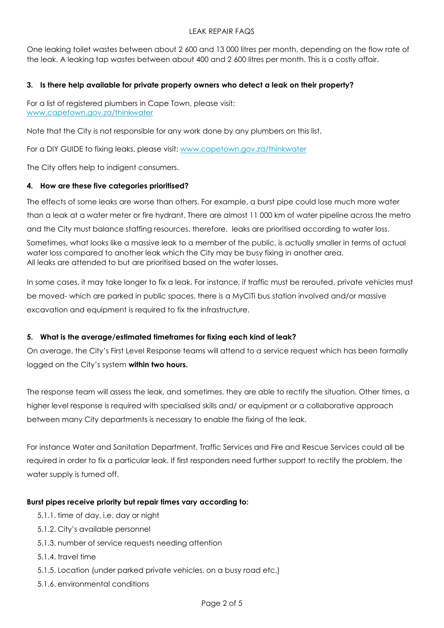## LEAK REPAIR FAQS

One leaking toilet wastes between about 2 600 and 13 000 litres per month, depending on the flow rate of the leak. A leaking tap wastes between about 400 and 2 600 litres per month. This is a costly affair.

## **3. Is there help available for private property owners who detect a leak on their property?**

For a list of registered plumbers in Cape Town, please visit: [www.capetown.gov.za/thinkwater](http://www.capetown.gov.za/thinkwater)

Note that the City is not responsible for any work done by any plumbers on this list.

For a DIY GUIDE to fixing leaks, please visit: [www.capetown.gov.za/thinkwater](http://www.capetown.gov.za/thinkwater)

The City offers help to indigent consumers.

#### **4. How are these five categories prioritised?**

The effects of some leaks are worse than others. For example, a burst pipe could lose much more water than a leak at a water meter or fire hydrant. There are almost 11 000 km of water pipeline across the metro and the City must balance staffing resources, therefore, leaks are prioritised according to water loss.

Sometimes, what looks like a massive leak to a member of the public, is actually smaller in terms of actual water loss compared to another leak which the City may be busy fixing in another area. All leaks are attended to but are prioritised based on the water losses.

In some cases, it may take longer to fix a leak. For instance, if traffic must be rerouted, private vehicles must be moved- which are parked in public spaces, there is a MyCiTi bus station involved and/or massive excavation and equipment is required to fix the infrastructure.

## **5. What is the average/estimated timeframes for fixing each kind of leak?**

On average, the City's First Level Response teams will attend to a service request which has been formally logged on the City's system **within two hours.** 

The response team will assess the leak, and sometimes, they are able to rectify the situation. Other times, a higher level response is required with specialised skills and/ or equipment or a collaborative approach between many City departments is necessary to enable the fixing of the leak.

For instance Water and Sanitation Department, Traffic Services and Fire and Rescue Services could all be required in order to fix a particular leak. If first responders need further support to rectify the problem, the water supply is turned off.

## **Burst pipes receive priority but repair times vary according to:**

- 5.1.1. time of day, i.e. day or night
- 5.1.2. City's available personnel
- 5.1.3. number of service requests needing attention
- 5.1.4. travel time
- 5.1.5. Location (under parked private vehicles, on a busy road etc.)
- 5.1.6. environmental conditions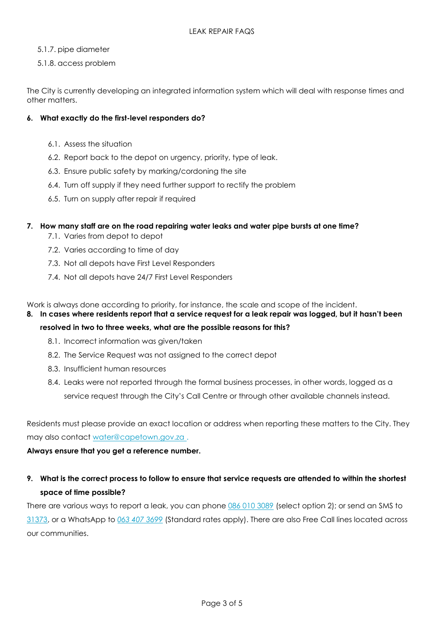- 5.1.7. pipe diameter
- 5.1.8. access problem

The City is currently developing an integrated information system which will deal with response times and other matters.

# **6. What exactly do the first-level responders do?**

- 6.1. Assess the situation
- 6.2. Report back to the depot on urgency, priority, type of leak.
- 6.3. Ensure public safety by marking/cordoning the site
- 6.4. Turn off supply if they need further support to rectify the problem
- 6.5. Turn on supply after repair if required

## **7. How many staff are on the road repairing water leaks and water pipe bursts at one time?**

- 7.1. Varies from depot to depot
- 7.2. Varies according to time of day
- 7.3. Not all depots have First Level Responders
- 7.4. Not all depots have 24/7 First Level Responders

Work is always done according to priority, for instance, the scale and scope of the incident.

## **8. In cases where residents report that a service request for a leak repair was logged, but it hasn't been**

## **resolved in two to three weeks, what are the possible reasons for this?**

- 8.1. Incorrect information was given/taken
- 8.2. The Service Request was not assigned to the correct depot
- 8.3. Insufficient human resources
- 8.4. Leaks were not reported through the formal business processes, in other words, logged as a service request through the City's Call Centre or through other available channels instead.

Residents must please provide an exact location or address when reporting these matters to the City. They may also contact [water@capetown.gov.za](mailto:water@capetown.gov.za) .

## **Always ensure that you get a reference number.**

**9. What is the correct process to follow to ensure that service requests are attended to within the shortest space of time possible?**

There are various ways to report a leak, you can phone 086 010 [3089](file:///C:/Users/JTIMLIN/AppData/Local/Microsoft/Windows/Temporary%20Internet%20Files/Content.Outlook/CSKDFNZV/a%3e086%20010%203089%20%3c/a) (select option 2); or send an SMS to [31373,](a%3e31373%3c/a) or a WhatsApp to *063 [407 3699](a%3e063 407%203699%3c/a)* (Standard rates apply). There are also Free Call lines located across our communities.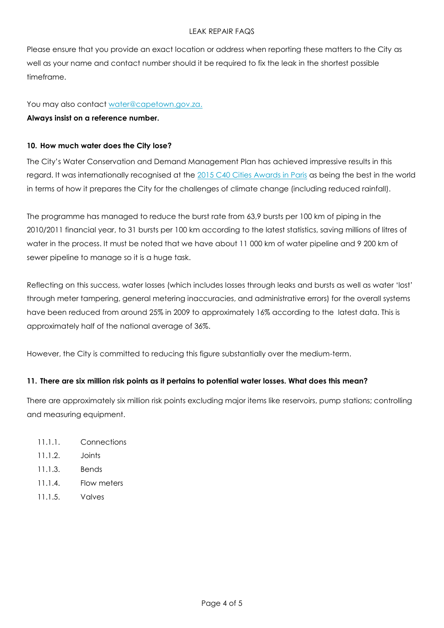## LEAK REPAIR FAQS

Please ensure that you provide an exact location or address when reporting these matters to the City as well as your name and contact number should it be required to fix the leak in the shortest possible timeframe.

#### You may also contact [water@capetown.gov.za.](mailto:water@capetown.gov.za)

#### **Always insist on a reference number.**

#### **10. How much water does the City lose?**

The City's Water Conservation and Demand Management Plan has achieved impressive results in this regard. It was internationally recognised at the [2015 C40 Cities Awards in Paris](http://resource.capetown.gov.za/documentcentre/Documents/Speeches%20and%20statements/Mayor_Statement_COP21_4Dec2015.pdf) as being the best in the world in terms of how it prepares the City for the challenges of climate change (including reduced rainfall).

The programme has managed to reduce the burst rate from 63,9 bursts per 100 km of piping in the 2010/2011 financial year, to 31 bursts per 100 km according to the latest statistics, saving millions of litres of water in the process. It must be noted that we have about 11 000 km of water pipeline and 9 200 km of sewer pipeline to manage so it is a huge task.

Reflecting on this success, water losses (which includes losses through leaks and bursts as well as water 'lost' through meter tampering, general metering inaccuracies, and administrative errors) for the overall systems have been reduced from around 25% in 2009 to approximately 16% according to the latest data. This is approximately half of the national average of 36%.

However, the City is committed to reducing this figure substantially over the medium-term.

## **11. There are six million risk points as it pertains to potential water losses. What does this mean?**

There are approximately six million risk points excluding major items like reservoirs, pump stations; controlling and measuring equipment.

- 11.1.1. Connections
- 11.1.2. Joints
- 11.1.3. Bends
- 11.1.4. Flow meters
- 11.1.5. Valves